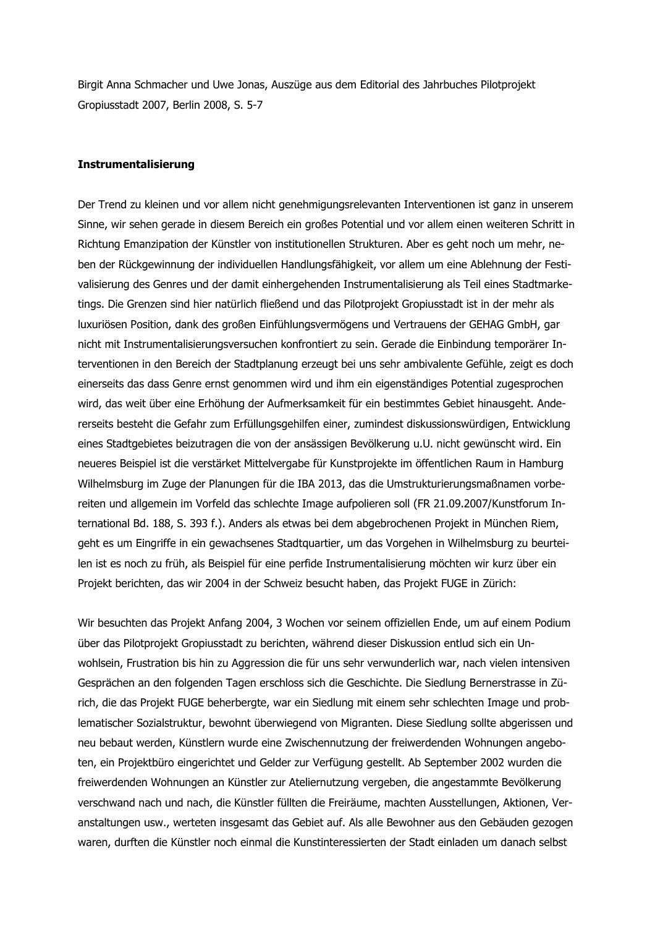Birgit Anna Schmacher und Uwe Jonas, Auszüge aus dem Editorial des Jahrbuches Pilotprojekt Gropiusstadt 2007, Berlin 2008, S. 5-7

## **Instrumentalisierung**

Der Trend zu kleinen und vor allem nicht genehmigungsrelevanten Interventionen ist ganz in unserem Sinne, wir sehen gerade in diesem Bereich ein großes Potential und vor allem einen weiteren Schritt in Richtung Emanzipation der Künstler von institutionellen Strukturen. Aber es geht noch um mehr, neben der Rückgewinnung der individuellen Handlungsfähigkeit, vor allem um eine Ablehnung der Festivalisierung des Genres und der damit einhergehenden Instrumentalisierung als Teil eines Stadtmarketings. Die Grenzen sind hier natürlich fließend und das Pilotprojekt Gropiusstadt ist in der mehr als luxuriösen Position, dank des großen Einfühlungsvermögens und Vertrauens der GEHAG GmbH, gar nicht mit Instrumentalisierungsversuchen konfrontiert zu sein. Gerade die Einbindung temporärer Interventionen in den Bereich der Stadtplanung erzeugt bei uns sehr ambivalente Gefühle, zeigt es doch einerseits das dass Genre ernst genommen wird und ihm ein eigenständiges Potential zugesprochen wird, das weit über eine Erhöhung der Aufmerksamkeit für ein bestimmtes Gebiet hinausgeht. Andererseits besteht die Gefahr zum Erfüllungsgehilfen einer, zumindest diskussionswürdigen, Entwicklung eines Stadtgebietes beizutragen die von der ansässigen Bevölkerung u.U. nicht gewünscht wird. Ein neueres Beispiel ist die verstärket Mittelvergabe für Kunstprojekte im öffentlichen Raum in Hamburg Wilhelmsburg im Zuge der Planungen für die IBA 2013, das die Umstrukturierungsmaßnamen vorbereiten und allgemein im Vorfeld das schlechte Image aufpolieren soll (FR 21.09.2007/Kunstforum International Bd. 188, S. 393 f.). Anders als etwas bei dem abgebrochenen Projekt in München Riem, geht es um Eingriffe in ein gewachsenes Stadtquartier, um das Vorgehen in Wilhelmsburg zu beurteilen ist es noch zu früh, als Beispiel für eine perfide Instrumentalisierung möchten wir kurz über ein Projekt berichten, das wir 2004 in der Schweiz besucht haben, das Projekt FUGE in Zürich:

Wir besuchten das Projekt Anfang 2004, 3 Wochen vor seinem offiziellen Ende, um auf einem Podium über das Pilotprojekt Gropiusstadt zu berichten, während dieser Diskussion entlud sich ein Unwohlsein, Frustration bis hin zu Aggression die für uns sehr verwunderlich war, nach vielen intensiven Gesprächen an den folgenden Tagen erschloss sich die Geschichte. Die Siedlung Bernerstrasse in Zürich, die das Projekt FUGE beherbergte, war ein Siedlung mit einem sehr schlechten Image und problematischer Sozialstruktur, bewohnt überwiegend von Migranten. Diese Siedlung sollte abgerissen und neu bebaut werden, Künstlern wurde eine Zwischennutzung der freiwerdenden Wohnungen angeboten, ein Projektbüro eingerichtet und Gelder zur Verfügung gestellt. Ab September 2002 wurden die freiwerdenden Wohnungen an Künstler zur Ateliernutzung vergeben, die angestammte Bevölkerung verschwand nach und nach, die Künstler füllten die Freiräume, machten Ausstellungen, Aktionen, Veranstaltungen usw., werteten insgesamt das Gebiet auf. Als alle Bewohner aus den Gebäuden gezogen waren, durften die Künstler noch einmal die Kunstinteressierten der Stadt einladen um danach selbst